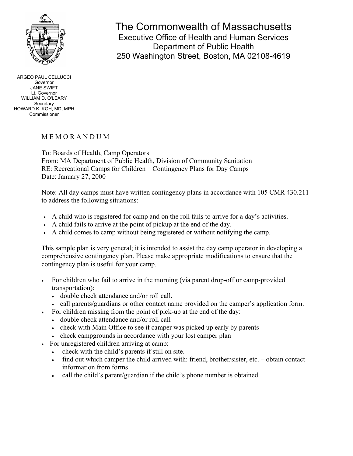

# The Commonwealth of Massachusetts

Executive Office of Health and Human Services Department of Public Health 250 Washington Street, Boston, MA 02108-4619

ARGEO PAUL CELLUCCI Governor JANE SWIFT Lt. Governor WILLIAM D. O'LEARY **Secretary** HOWARD K. KOH, MD, MPH Commissioner

# M E M O R A N D U M

To: Boards of Health, Camp Operators From: MA Department of Public Health, Division of Community Sanitation RE: Recreational Camps for Children – Contingency Plans for Day Camps Date: January 27, 2000

Note: All day camps must have written contingency plans in accordance with 105 CMR 430.211 to address the following situations:

- A child who is registered for camp and on the roll fails to arrive for a day's activities.
- A child fails to arrive at the point of pickup at the end of the day.
- A child comes to camp without being registered or without notifying the camp.

This sample plan is very general; it is intended to assist the day camp operator in developing a comprehensive contingency plan. Please make appropriate modifications to ensure that the contingency plan is useful for your camp.

- For children who fail to arrive in the morning (via parent drop-off or camp-provided transportation):
	- double check attendance and/or roll call.
	- call parents/guardians or other contact name provided on the camper's application form.
	- For children missing from the point of pick-up at the end of the day:
	- double check attendance and/or roll call
	- check with Main Office to see if camper was picked up early by parents
	- check campgrounds in accordance with your lost camper plan
- For unregistered children arriving at camp:
	- check with the child's parents if still on site.
	- find out which camper the child arrived with: friend, brother/sister, etc. obtain contact information from forms
	- call the child's parent/guardian if the child's phone number is obtained.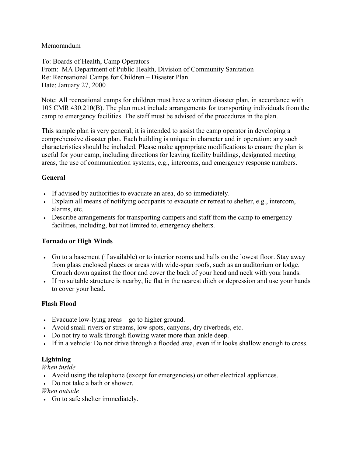### Memorandum

To: Boards of Health, Camp Operators From: MA Department of Public Health, Division of Community Sanitation Re: Recreational Camps for Children – Disaster Plan Date: January 27, 2000

Note: All recreational camps for children must have a written disaster plan, in accordance with 105 CMR 430.210(B). The plan must include arrangements for transporting individuals from the camp to emergency facilities. The staff must be advised of the procedures in the plan.

This sample plan is very general; it is intended to assist the camp operator in developing a comprehensive disaster plan. Each building is unique in character and in operation; any such characteristics should be included. Please make appropriate modifications to ensure the plan is useful for your camp, including directions for leaving facility buildings, designated meeting areas, the use of communication systems, e.g., intercoms, and emergency response numbers.

# **General**

- If advised by authorities to evacuate an area, do so immediately.
- Explain all means of notifying occupants to evacuate or retreat to shelter, e.g., intercom, alarms, etc.
- Describe arrangements for transporting campers and staff from the camp to emergency facilities, including, but not limited to, emergency shelters.

# **Tornado or High Winds**

- Go to a basement (if available) or to interior rooms and halls on the lowest floor. Stay away from glass enclosed places or areas with wide-span roofs, such as an auditorium or lodge. Crouch down against the floor and cover the back of your head and neck with your hands.
- If no suitable structure is nearby, lie flat in the nearest ditch or depression and use your hands to cover your head.

# **Flash Flood**

- Evacuate low-lying areas go to higher ground.
- Avoid small rivers or streams, low spots, canyons, dry riverbeds, etc.
- Do not try to walk through flowing water more than ankle deep.
- If in a vehicle: Do not drive through a flooded area, even if it looks shallow enough to cross.

# **Lightning**

*When inside* 

- Avoid using the telephone (except for emergencies) or other electrical appliances.
- Do not take a bath or shower.

# *When outside*

• Go to safe shelter immediately.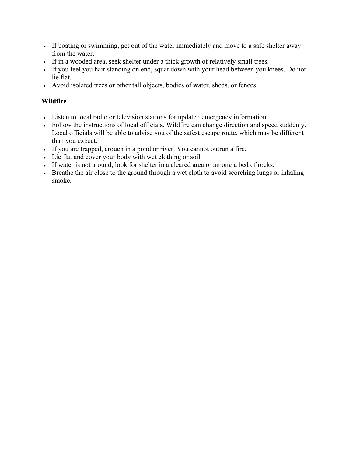- If boating or swimming, get out of the water immediately and move to a safe shelter away from the water.
- If in a wooded area, seek shelter under a thick growth of relatively small trees.
- If you feel you hair standing on end, squat down with your head between you knees. Do not lie flat.
- Avoid isolated trees or other tall objects, bodies of water, sheds, or fences.

# **Wildfire**

- Listen to local radio or television stations for updated emergency information.
- Follow the instructions of local officials. Wildfire can change direction and speed suddenly. Local officials will be able to advise you of the safest escape route, which may be different than you expect.
- If you are trapped, crouch in a pond or river. You cannot outrun a fire.
- Lie flat and cover your body with wet clothing or soil.
- If water is not around, look for shelter in a cleared area or among a bed of rocks.
- Breathe the air close to the ground through a wet cloth to avoid scorching lungs or inhaling smoke.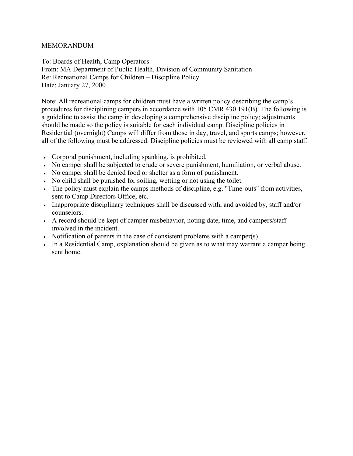To: Boards of Health, Camp Operators From: MA Department of Public Health, Division of Community Sanitation Re: Recreational Camps for Children – Discipline Policy Date: January 27, 2000

Note: All recreational camps for children must have a written policy describing the camp's procedures for disciplining campers in accordance with 105 CMR 430.191(B). The following is a guideline to assist the camp in developing a comprehensive discipline policy; adjustments should be made so the policy is suitable for each individual camp. Discipline policies in Residential (overnight) Camps will differ from those in day, travel, and sports camps; however, all of the following must be addressed. Discipline policies must be reviewed with all camp staff.

- Corporal punishment, including spanking, is prohibited.
- No camper shall be subjected to crude or severe punishment, humiliation, or verbal abuse.
- No camper shall be denied food or shelter as a form of punishment.
- No child shall be punished for soiling, wetting or not using the toilet.
- The policy must explain the camps methods of discipline, e.g. "Time-outs" from activities, sent to Camp Directors Office, etc.
- Inappropriate disciplinary techniques shall be discussed with, and avoided by, staff and/or counselors.
- A record should be kept of camper misbehavior, noting date, time, and campers/staff involved in the incident.
- Notification of parents in the case of consistent problems with a camper(s).
- In a Residential Camp, explanation should be given as to what may warrant a camper being sent home.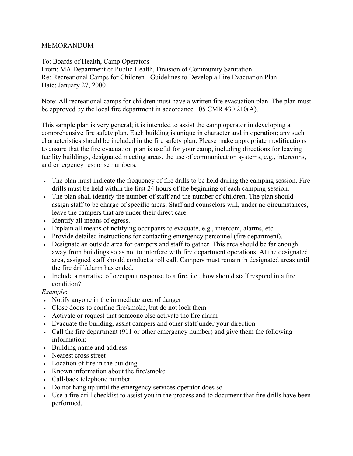To: Boards of Health, Camp Operators From: MA Department of Public Health, Division of Community Sanitation Re: Recreational Camps for Children - Guidelines to Develop a Fire Evacuation Plan Date: January 27, 2000

Note: All recreational camps for children must have a written fire evacuation plan. The plan must be approved by the local fire department in accordance 105 CMR 430.210(A).

This sample plan is very general; it is intended to assist the camp operator in developing a comprehensive fire safety plan. Each building is unique in character and in operation; any such characteristics should be included in the fire safety plan. Please make appropriate modifications to ensure that the fire evacuation plan is useful for your camp, including directions for leaving facility buildings, designated meeting areas, the use of communication systems, e.g., intercoms, and emergency response numbers.

- The plan must indicate the frequency of fire drills to be held during the camping session. Fire drills must be held within the first 24 hours of the beginning of each camping session.
- The plan shall identify the number of staff and the number of children. The plan should assign staff to be charge of specific areas. Staff and counselors will, under no circumstances, leave the campers that are under their direct care.
- Identify all means of egress.
- Explain all means of notifying occupants to evacuate, e.g., intercom, alarms, etc.
- Provide detailed instructions for contacting emergency personnel (fire department).
- Designate an outside area for campers and staff to gather. This area should be far enough away from buildings so as not to interfere with fire department operations. At the designated area, assigned staff should conduct a roll call. Campers must remain in designated areas until the fire drill/alarm has ended.
- Include a narrative of occupant response to a fire, i.e., how should staff respond in a fire condition?

*Example*:

- Notify anyone in the immediate area of danger
- Close doors to confine fire/smoke, but do not lock them
- Activate or request that someone else activate the fire alarm
- Evacuate the building, assist campers and other staff under your direction
- Call the fire department (911 or other emergency number) and give them the following information:
- Building name and address
- Nearest cross street
- Location of fire in the building
- Known information about the fire/smoke
- Call-back telephone number
- Do not hang up until the emergency services operator does so
- Use a fire drill checklist to assist you in the process and to document that fire drills have been performed.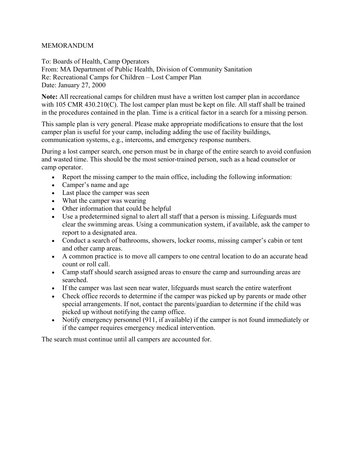To: Boards of Health, Camp Operators From: MA Department of Public Health, Division of Community Sanitation Re: Recreational Camps for Children – Lost Camper Plan Date: January 27, 2000

**Note:** All recreational camps for children must have a written lost camper plan in accordance with 105 CMR 430.210(C). The lost camper plan must be kept on file. All staff shall be trained in the procedures contained in the plan. Time is a critical factor in a search for a missing person.

This sample plan is very general. Please make appropriate modifications to ensure that the lost camper plan is useful for your camp, including adding the use of facility buildings, communication systems, e.g., intercoms, and emergency response numbers.

During a lost camper search, one person must be in charge of the entire search to avoid confusion and wasted time. This should be the most senior-trained person, such as a head counselor or camp operator.

- Report the missing camper to the main office, including the following information:
- Camper's name and age
- Last place the camper was seen
- What the camper was wearing
- Other information that could be helpful
- Use a predetermined signal to alert all staff that a person is missing. Lifeguards must clear the swimming areas. Using a communication system, if available, ask the camper to report to a designated area.
- Conduct a search of bathrooms, showers, locker rooms, missing camper's cabin or tent and other camp areas.
- A common practice is to move all campers to one central location to do an accurate head count or roll call.
- Camp staff should search assigned areas to ensure the camp and surrounding areas are searched.
- If the camper was last seen near water, lifeguards must search the entire waterfront
- Check office records to determine if the camper was picked up by parents or made other special arrangements. If not, contact the parents/guardian to determine if the child was picked up without notifying the camp office.
- Notify emergency personnel (911, if available) if the camper is not found immediately or if the camper requires emergency medical intervention.

The search must continue until all campers are accounted for.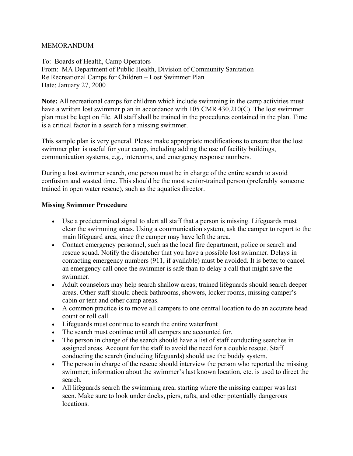To: Boards of Health, Camp Operators From: MA Department of Public Health, Division of Community Sanitation Re Recreational Camps for Children – Lost Swimmer Plan Date: January 27, 2000

**Note:** All recreational camps for children which include swimming in the camp activities must have a written lost swimmer plan in accordance with 105 CMR 430.210(C). The lost swimmer plan must be kept on file. All staff shall be trained in the procedures contained in the plan. Time is a critical factor in a search for a missing swimmer.

This sample plan is very general. Please make appropriate modifications to ensure that the lost swimmer plan is useful for your camp, including adding the use of facility buildings, communication systems, e.g., intercoms, and emergency response numbers.

During a lost swimmer search, one person must be in charge of the entire search to avoid confusion and wasted time. This should be the most senior-trained person (preferably someone trained in open water rescue), such as the aquatics director.

#### **Missing Swimmer Procedure**

- Use a predetermined signal to alert all staff that a person is missing. Lifeguards must clear the swimming areas. Using a communication system, ask the camper to report to the main lifeguard area, since the camper may have left the area.
- Contact emergency personnel, such as the local fire department, police or search and rescue squad. Notify the dispatcher that you have a possible lost swimmer. Delays in contacting emergency numbers (911, if available) must be avoided. It is better to cancel an emergency call once the swimmer is safe than to delay a call that might save the swimmer.
- Adult counselors may help search shallow areas; trained lifeguards should search deeper areas. Other staff should check bathrooms, showers, locker rooms, missing camper's cabin or tent and other camp areas.
- A common practice is to move all campers to one central location to do an accurate head count or roll call.
- Lifeguards must continue to search the entire waterfront
- The search must continue until all campers are accounted for.
- The person in charge of the search should have a list of staff conducting searches in assigned areas. Account for the staff to avoid the need for a double rescue. Staff conducting the search (including lifeguards) should use the buddy system.
- The person in charge of the rescue should interview the person who reported the missing swimmer; information about the swimmer's last known location, etc. is used to direct the search.
- All lifeguards search the swimming area, starting where the missing camper was last seen. Make sure to look under docks, piers, rafts, and other potentially dangerous locations.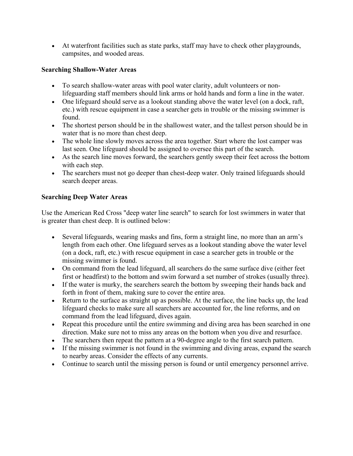• At waterfront facilities such as state parks, staff may have to check other playgrounds, campsites, and wooded areas.

# **Searching Shallow-Water Areas**

- To search shallow-water areas with pool water clarity, adult volunteers or nonlifeguarding staff members should link arms or hold hands and form a line in the water.
- One lifeguard should serve as a lookout standing above the water level (on a dock, raft, etc.) with rescue equipment in case a searcher gets in trouble or the missing swimmer is found.
- The shortest person should be in the shallowest water, and the tallest person should be in water that is no more than chest deep.
- The whole line slowly moves across the area together. Start where the lost camper was last seen. One lifeguard should be assigned to oversee this part of the search.
- As the search line moves forward, the searchers gently sweep their feet across the bottom with each step.
- The searchers must not go deeper than chest-deep water. Only trained lifeguards should search deeper areas.

# **Searching Deep Water Areas**

Use the American Red Cross "deep water line search" to search for lost swimmers in water that is greater than chest deep. It is outlined below:

- Several lifeguards, wearing masks and fins, form a straight line, no more than an arm's length from each other. One lifeguard serves as a lookout standing above the water level (on a dock, raft, etc.) with rescue equipment in case a searcher gets in trouble or the missing swimmer is found.
- On command from the lead lifeguard, all searchers do the same surface dive (either feet first or headfirst) to the bottom and swim forward a set number of strokes (usually three).
- If the water is murky, the searchers search the bottom by sweeping their hands back and forth in front of them, making sure to cover the entire area.
- Return to the surface as straight up as possible. At the surface, the line backs up, the lead lifeguard checks to make sure all searchers are accounted for, the line reforms, and on command from the lead lifeguard, dives again.
- Repeat this procedure until the entire swimming and diving area has been searched in one direction. Make sure not to miss any areas on the bottom when you dive and resurface.
- The searchers then repeat the pattern at a 90-degree angle to the first search pattern.
- If the missing swimmer is not found in the swimming and diving areas, expand the search to nearby areas. Consider the effects of any currents.
- Continue to search until the missing person is found or until emergency personnel arrive.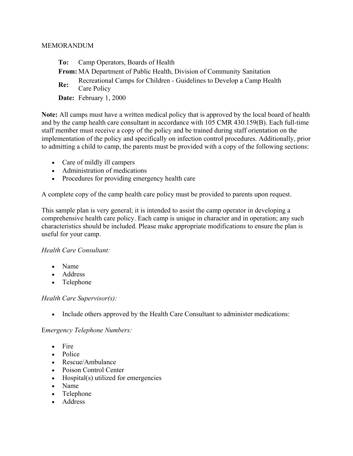- **To:** Camp Operators, Boards of Health
- **From:** MA Department of Public Health, Division of Community Sanitation
- **Re:** Recreational Camps for Children Guidelines to Develop a Camp Health Care Policy
- **Date:** February 1, 2000

**Note:** All camps must have a written medical policy that is approved by the local board of health and by the camp health care consultant in accordance with 105 CMR 430.159(B). Each full-time staff member must receive a copy of the policy and be trained during staff orientation on the implementation of the policy and specifically on infection control procedures. Additionally, prior to admitting a child to camp, the parents must be provided with a copy of the following sections:

- Care of mildly ill campers
- Administration of medications
- Procedures for providing emergency health care

A complete copy of the camp health care policy must be provided to parents upon request.

This sample plan is very general; it is intended to assist the camp operator in developing a comprehensive health care policy. Each camp is unique in character and in operation; any such characteristics should be included. Please make appropriate modifications to ensure the plan is useful for your camp.

#### *Health Care Consultant:*

- Name
- Address
- Telephone

#### *Health Care Supervisor(s):*

• Include others approved by the Health Care Consultant to administer medications:

#### E*mergency Telephone Numbers:*

- Fire
- Police
- Rescue/Ambulance
- Poison Control Center
- Hospital(s) utilized for emergencies
- Name
- Telephone
- Address